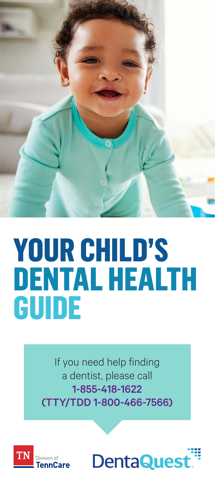

# **YOUR CHILD'S DENTAL HEALTH GUIDE**

If you need help finding a dentist, please call 1-855-418-1622 (TTY/TDD 1-800-466-7566)



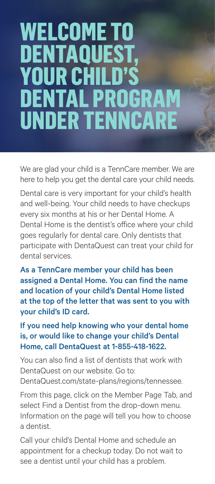## **WELCOME TO DENTAQUE YOUR CHIL DENTAL PROGRA UNDER TENNCA**

We are glad your child is a TennCare member. We are here to help you get the dental care your child needs.

Dental care is very important for your child's health and well-being. Your child needs to have checkups every six months at his or her Dental Home. A Dental Home is the dentist's office where your child goes regularly for dental care. Only dentists that participate with DentaQuest can treat your child for dental services.

As a TennCare member your child has been assigned a Dental Home. You can find the name and location of your child's Dental Home listed at the top of the letter that was sent to you with your child's ID card.

#### If you need help knowing who your dental home is, or would like to change your child's Dental Home, call DentaQuest at 1-855-418-1622.

You can also find a list of dentists that work with DentaQuest on our website. Go to: [DentaQuest.com/state-plans/regions/tennessee](http://DentaQuest.com/state-plans/regions/tennessee).

From this page, click on the Member Page Tab, and select Find a Dentist from the drop-down menu. Information on the page will tell you how to choose a dentist.

Call your child's Dental Home and schedule an appointment for a checkup today. Do not wait to see a dentist until your child has a problem.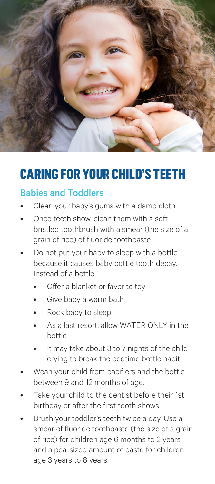

### **CARING FOR YOUR CHILD'S TEETH**

#### Babies and Toddlers

- Clean your baby's gums with a damp cloth.
- Once teeth show, clean them with a soft bristled toothbrush with a smear (the size of a grain of rice) of fluoride toothpaste.
- Do not put your baby to sleep with a bottle because it causes baby bottle tooth decay. Instead of a bottle:
	- Offer a blanket or favorite tov
	- Give baby a warm bath
	- Rock baby to sleep
	- As a last resort, allow WATER ONLY in the bottle
	- It may take about 3 to 7 nights of the child crying to break the bedtime bottle habit.
- Wean your child from pacifiers and the bottle between 9 and 12 months of age.
- Take your child to the dentist before their 1st birthday or after the first tooth shows.
- Brush your toddler's teeth twice a day. Use a smear of fluoride toothpaste (the size of a grain of rice) for children age 6 months to 2 years and a pea-sized amount of paste for children age 3 years to 6 years.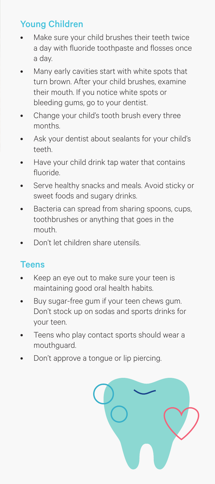#### Young Children

- Make sure your child brushes their teeth twice a day with fluoride toothpaste and flosses once a day.
- Many early cavities start with white spots that turn brown. After your child brushes, examine their mouth. If you notice white spots or bleeding gums, go to your dentist.
- Change your child's tooth brush every three months.
- Ask your dentist about sealants for your child's teeth.
- Have your child drink tap water that contains fluoride.
- Serve healthy snacks and meals. Avoid sticky or sweet foods and sugary drinks.
- Bacteria can spread from sharing spoons, cups, toothbrushes or anything that goes in the mouth.
- Don't let children share utensils.

#### **Teens**

- Keep an eye out to make sure your teen is maintaining good oral health habits.
- Buy sugar-free gum if your teen chews gum. Don't stock up on sodas and sports drinks for your teen.
- Teens who play contact sports should wear a mouthguard.
- Don't approve a tongue or lip piercing.

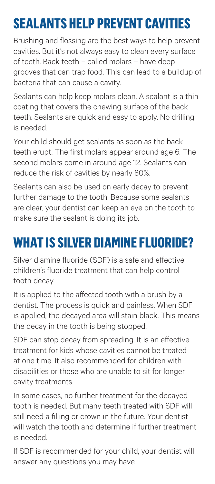## **SEALANTS HELP PREVENT CAVITIES**

Brushing and flossing are the best ways to help prevent cavities. But it's not always easy to clean every surface of teeth. Back teeth – called molars – have deep grooves that can trap food. This can lead to a buildup of bacteria that can cause a cavity.

Sealants can help keep molars clean. A sealant is a thin coating that covers the chewing surface of the back teeth. Sealants are quick and easy to apply. No drilling is needed.

Your child should get sealants as soon as the back teeth erupt. The first molars appear around age 6. The second molars come in around age 12. Sealants can reduce the risk of cavities by nearly 80%.

Sealants can also be used on early decay to prevent further damage to the tooth. Because some sealants are clear, your dentist can keep an eye on the tooth to make sure the sealant is doing its job.

## **WHAT IS SILVER DIAMINE FLUORIDE?**

Silver diamine fluoride (SDF) is a safe and effective children's fluoride treatment that can help control tooth decay.

It is applied to the affected tooth with a brush by a dentist. The process is quick and painless. When SDF is applied, the decayed area will stain black. This means the decay in the tooth is being stopped.

SDF can stop decay from spreading. It is an effective treatment for kids whose cavities cannot be treated at one time. It also recommended for children with disabilities or those who are unable to sit for longer cavity treatments.

In some cases, no further treatment for the decayed tooth is needed. But many teeth treated with SDF will still need a filling or crown in the future. Your dentist will watch the tooth and determine if further treatment is needed.

If SDF is recommended for your child, your dentist will answer any questions you may have.